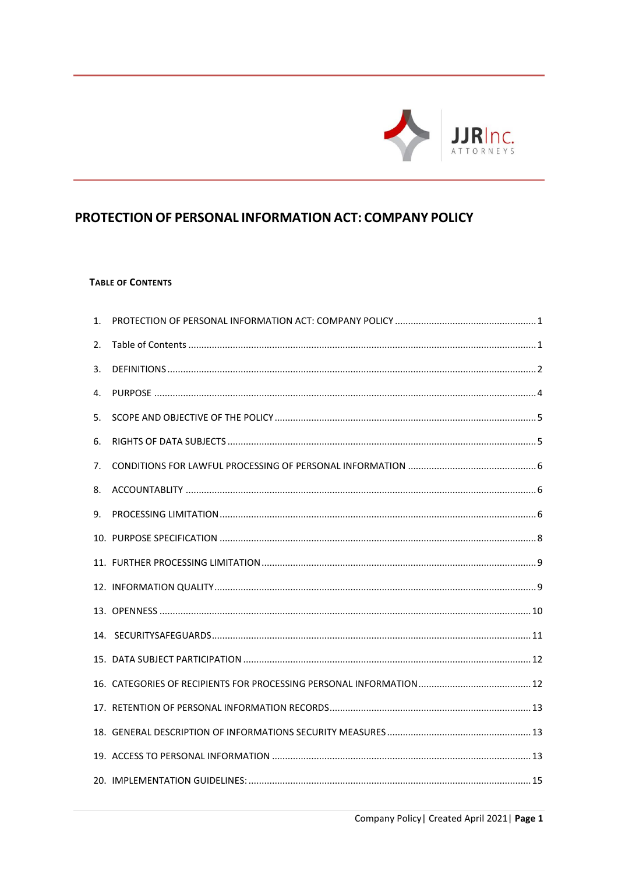

# <span id="page-0-0"></span>PROTECTION OF PERSONAL INFORMATION ACT: COMPANY POLICY

# <span id="page-0-1"></span>**TABLE OF CONTENTS**

| 1. |  |
|----|--|
| 2. |  |
| 3. |  |
| 4. |  |
| 5. |  |
| 6. |  |
| 7. |  |
| 8. |  |
| 9. |  |
|    |  |
|    |  |
|    |  |
|    |  |
|    |  |
|    |  |
|    |  |
|    |  |
|    |  |
|    |  |
|    |  |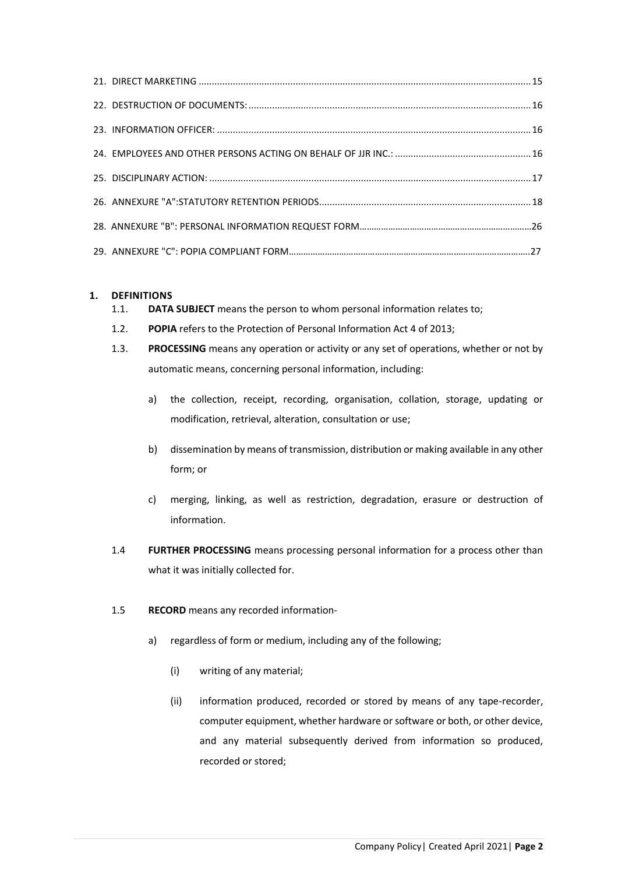# <span id="page-1-0"></span>**1. DEFINITIONS**

- 1.1. **DATA SUBJECT** means the person to whom personal information relates to;
- 1.2. **POPIA** refers to the Protection of Personal Information Act 4 of 2013;
- 1.3. **PROCESSING** means any operation or activity or any set of operations, whether or not by automatic means, concerning personal information, including:
	- a) the collection, receipt, recording, organisation, collation, storage, updating or modification, retrieval, alteration, consultation or use;
	- b) dissemination by means of transmission, distribution or making available in any other form; or
	- c) merging, linking, as well as restriction, degradation, erasure or destruction of information.
- 1.4 **FURTHER PROCESSING** means processing personal information for a process other than what it was initially collected for.
- 1.5 **RECORD** means any recorded information
	- a) regardless of form or medium, including any of the following;
		- (i) writing of any material;
		- (ii) information produced, recorded or stored by means of any tape-recorder, computer equipment, whether hardware or software or both, or other device, and any material subsequently derived from information so produced, recorded or stored;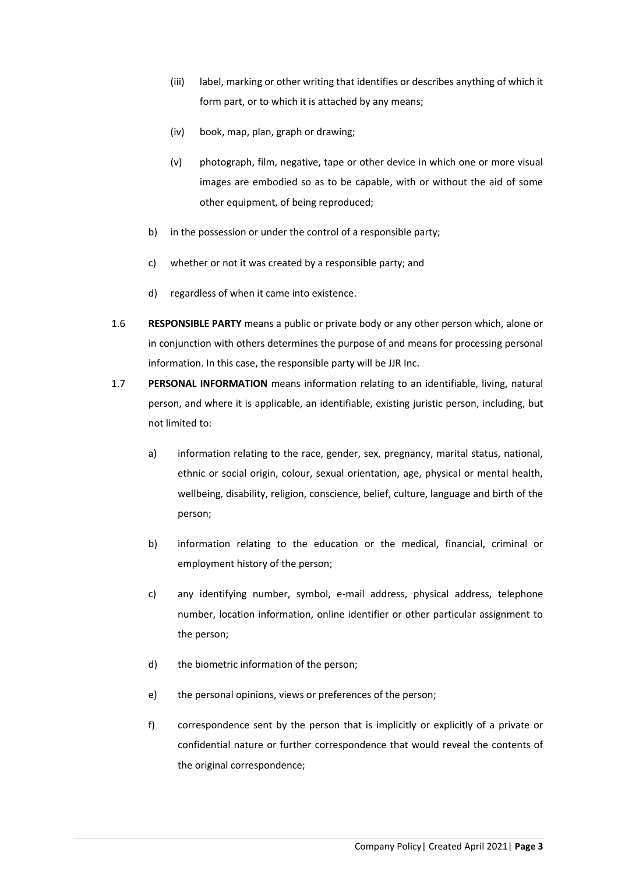- (iii) label, marking or other writing that identifies or describes anything of which it form part, or to which it is attached by any means;
- (iv) book, map, plan, graph or drawing;
- (v) photograph, film, negative, tape or other device in which one or more visual images are embodied so as to be capable, with or without the aid of some other equipment, of being reproduced;
- b) in the possession or under the control of a responsible party;
- c) whether or not it was created by a responsible party; and
- d) regardless of when it came into existence.
- 1.6 **RESPONSIBLE PARTY** means a public or private body or any other person which, alone or in conjunction with others determines the purpose of and means for processing personal information. In this case, the responsible party will be JJR Inc.
- 1.7 **PERSONAL INFORMATION** means information relating to an identifiable, living, natural person, and where it is applicable, an identifiable, existing juristic person, including, but not limited to:
	- a) information relating to the race, gender, sex, pregnancy, marital status, national, ethnic or social origin, colour, sexual orientation, age, physical or mental health, wellbeing, disability, religion, conscience, belief, culture, language and birth of the person;
	- b) information relating to the education or the medical, financial, criminal or employment history of the person;
	- c) any identifying number, symbol, e-mail address, physical address, telephone number, location information, online identifier or other particular assignment to the person;
	- d) the biometric information of the person;
	- e) the personal opinions, views or preferences of the person;
	- f) correspondence sent by the person that is implicitly or explicitly of a private or confidential nature or further correspondence that would reveal the contents of the original correspondence;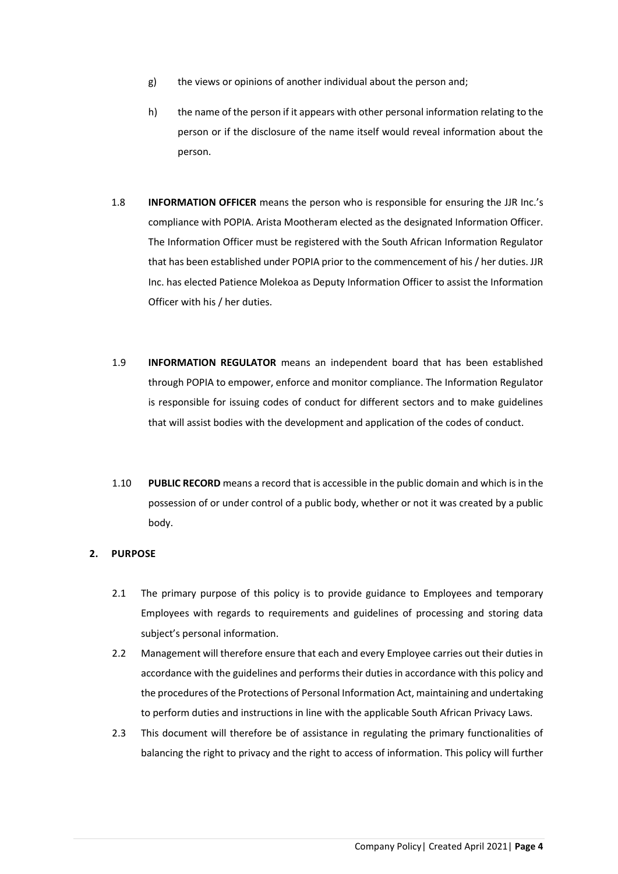- g) the views or opinions of another individual about the person and;
- h) the name of the person if it appears with other personal information relating to the person or if the disclosure of the name itself would reveal information about the person.
- 1.8 **INFORMATION OFFICER** means the person who is responsible for ensuring the JJR Inc.'s compliance with POPIA. Arista Mootheram elected as the designated Information Officer. The Information Officer must be registered with the South African Information Regulator that has been established under POPIA prior to the commencement of his / her duties. JJR Inc. has elected Patience Molekoa as Deputy Information Officer to assist the Information Officer with his / her duties.
- 1.9 **INFORMATION REGULATOR** means an independent board that has been established through POPIA to empower, enforce and monitor compliance. The Information Regulator is responsible for issuing codes of conduct for different sectors and to make guidelines that will assist bodies with the development and application of the codes of conduct.
- 1.10 **PUBLIC RECORD** means a record that is accessible in the public domain and which is in the possession of or under control of a public body, whether or not it was created by a public body.

# <span id="page-3-0"></span>**2. PURPOSE**

- 2.1 The primary purpose of this policy is to provide guidance to Employees and temporary Employees with regards to requirements and guidelines of processing and storing data subject's personal information.
- 2.2 Management will therefore ensure that each and every Employee carries out their duties in accordance with the guidelines and performs their duties in accordance with this policy and the procedures of the Protections of Personal Information Act, maintaining and undertaking to perform duties and instructions in line with the applicable South African Privacy Laws.
- 2.3 This document will therefore be of assistance in regulating the primary functionalities of balancing the right to privacy and the right to access of information. This policy will further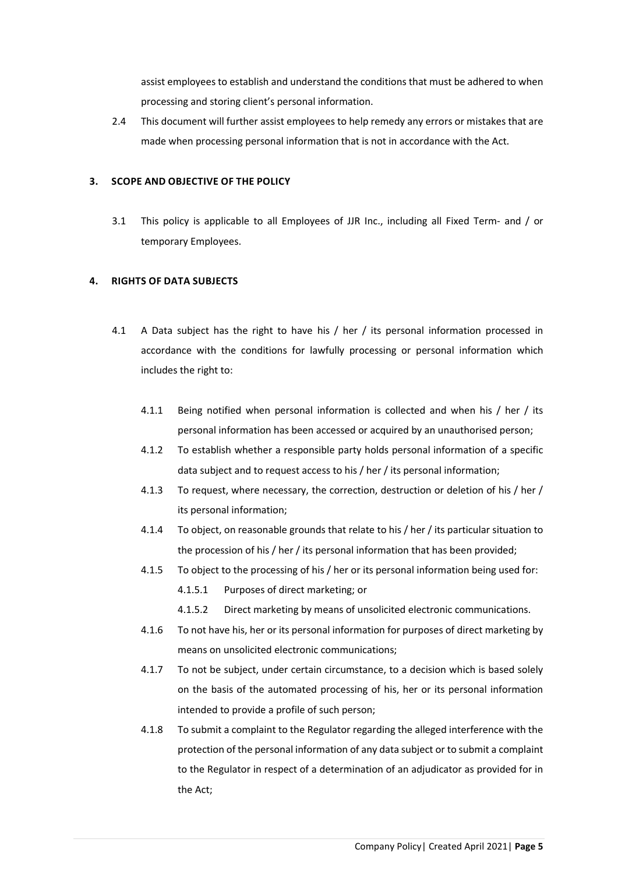assist employees to establish and understand the conditions that must be adhered to when processing and storing client's personal information.

2.4 This document will further assist employees to help remedy any errors or mistakes that are made when processing personal information that is not in accordance with the Act.

### <span id="page-4-0"></span>**3. SCOPE AND OBJECTIVE OF THE POLICY**

3.1 This policy is applicable to all Employees of JJR Inc., including all Fixed Term- and / or temporary Employees.

# <span id="page-4-1"></span>**4. RIGHTS OF DATA SUBJECTS**

- 4.1 A Data subject has the right to have his / her / its personal information processed in accordance with the conditions for lawfully processing or personal information which includes the right to:
	- 4.1.1 Being notified when personal information is collected and when his / her / its personal information has been accessed or acquired by an unauthorised person;
	- 4.1.2 To establish whether a responsible party holds personal information of a specific data subject and to request access to his / her / its personal information;
	- 4.1.3 To request, where necessary, the correction, destruction or deletion of his / her / its personal information;
	- 4.1.4 To object, on reasonable grounds that relate to his / her / its particular situation to the procession of his / her / its personal information that has been provided;
	- 4.1.5 To object to the processing of his / her or its personal information being used for:
		- 4.1.5.1 Purposes of direct marketing; or
		- 4.1.5.2 Direct marketing by means of unsolicited electronic communications.
	- 4.1.6 To not have his, her or its personal information for purposes of direct marketing by means on unsolicited electronic communications;
	- 4.1.7 To not be subject, under certain circumstance, to a decision which is based solely on the basis of the automated processing of his, her or its personal information intended to provide a profile of such person;
	- 4.1.8 To submit a complaint to the Regulator regarding the alleged interference with the protection of the personal information of any data subject or to submit a complaint to the Regulator in respect of a determination of an adjudicator as provided for in the Act;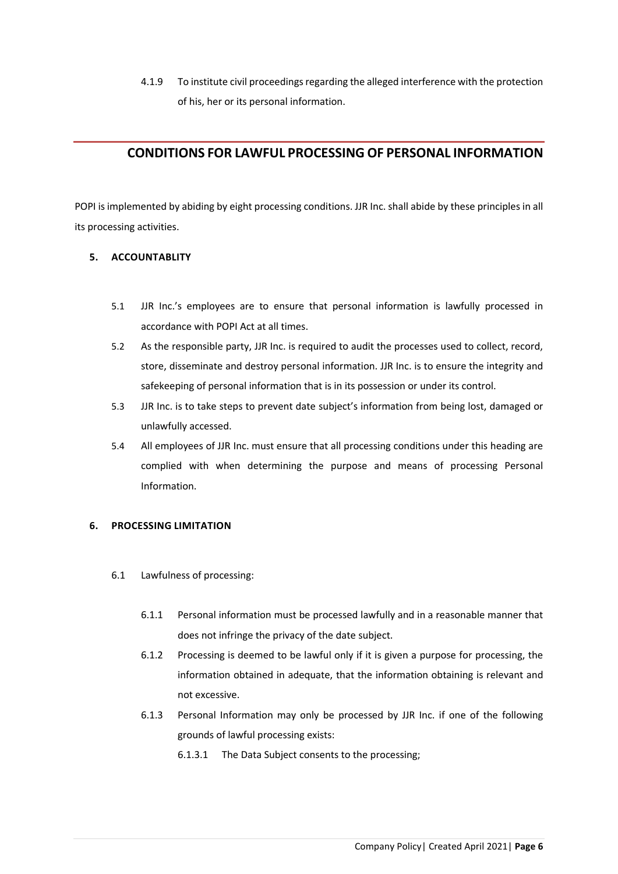4.1.9 To institute civil proceedings regarding the alleged interference with the protection of his, her or its personal information.

# <span id="page-5-0"></span>**CONDITIONS FOR LAWFUL PROCESSING OF PERSONAL INFORMATION**

POPI is implemented by abiding by eight processing conditions. JJR Inc. shall abide by these principles in all its processing activities.

# <span id="page-5-1"></span>**5. ACCOUNTABLITY**

- 5.1 JJR Inc.'s employees are to ensure that personal information is lawfully processed in accordance with POPI Act at all times.
- 5.2 As the responsible party, JJR Inc. is required to audit the processes used to collect, record, store, disseminate and destroy personal information. JJR Inc. is to ensure the integrity and safekeeping of personal information that is in its possession or under its control.
- 5.3 JJR Inc. is to take steps to prevent date subject's information from being lost, damaged or unlawfully accessed.
- 5.4 All employees of JJR Inc. must ensure that all processing conditions under this heading are complied with when determining the purpose and means of processing Personal Information.

# <span id="page-5-2"></span>**6. PROCESSING LIMITATION**

- 6.1 Lawfulness of processing:
	- 6.1.1 Personal information must be processed lawfully and in a reasonable manner that does not infringe the privacy of the date subject.
	- 6.1.2 Processing is deemed to be lawful only if it is given a purpose for processing, the information obtained in adequate, that the information obtaining is relevant and not excessive.
	- 6.1.3 Personal Information may only be processed by JJR Inc. if one of the following grounds of lawful processing exists:

6.1.3.1 The Data Subject consents to the processing;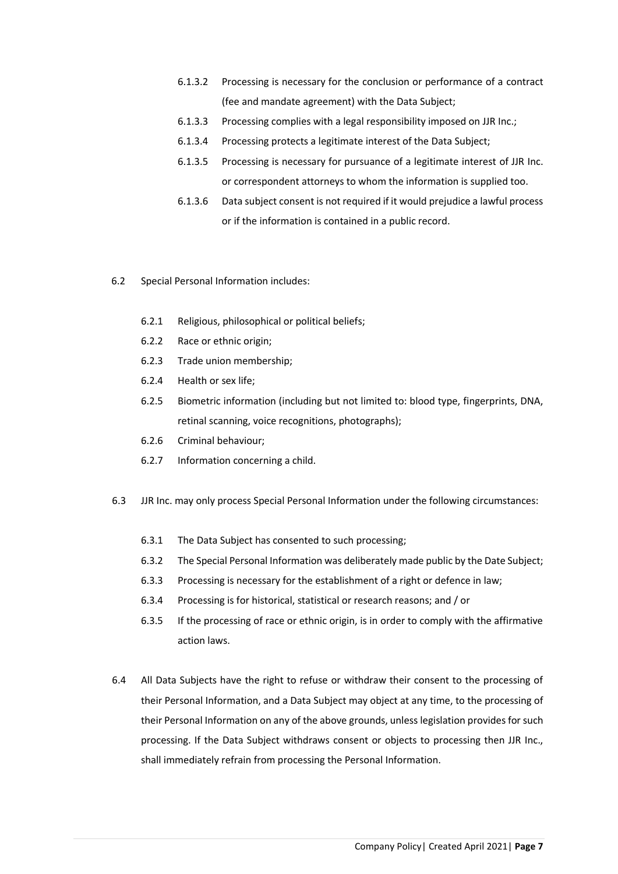- 6.1.3.2 Processing is necessary for the conclusion or performance of a contract (fee and mandate agreement) with the Data Subject;
- 6.1.3.3 Processing complies with a legal responsibility imposed on JJR Inc.;
- 6.1.3.4 Processing protects a legitimate interest of the Data Subject;
- 6.1.3.5 Processing is necessary for pursuance of a legitimate interest of JJR Inc. or correspondent attorneys to whom the information is supplied too.
- 6.1.3.6 Data subject consent is not required if it would prejudice a lawful process or if the information is contained in a public record.
- 6.2 Special Personal Information includes:
	- 6.2.1 Religious, philosophical or political beliefs;
	- 6.2.2 Race or ethnic origin;
	- 6.2.3 Trade union membership;
	- 6.2.4 Health or sex life;
	- 6.2.5 Biometric information (including but not limited to: blood type, fingerprints, DNA, retinal scanning, voice recognitions, photographs);
	- 6.2.6 Criminal behaviour;
	- 6.2.7 Information concerning a child.
- 6.3 JJR Inc. may only process Special Personal Information under the following circumstances:
	- 6.3.1 The Data Subject has consented to such processing;
	- 6.3.2 The Special Personal Information was deliberately made public by the Date Subject;
	- 6.3.3 Processing is necessary for the establishment of a right or defence in law;
	- 6.3.4 Processing is for historical, statistical or research reasons; and / or
	- 6.3.5 If the processing of race or ethnic origin, is in order to comply with the affirmative action laws.
- 6.4 All Data Subjects have the right to refuse or withdraw their consent to the processing of their Personal Information, and a Data Subject may object at any time, to the processing of their Personal Information on any of the above grounds, unless legislation provides for such processing. If the Data Subject withdraws consent or objects to processing then JJR Inc., shall immediately refrain from processing the Personal Information.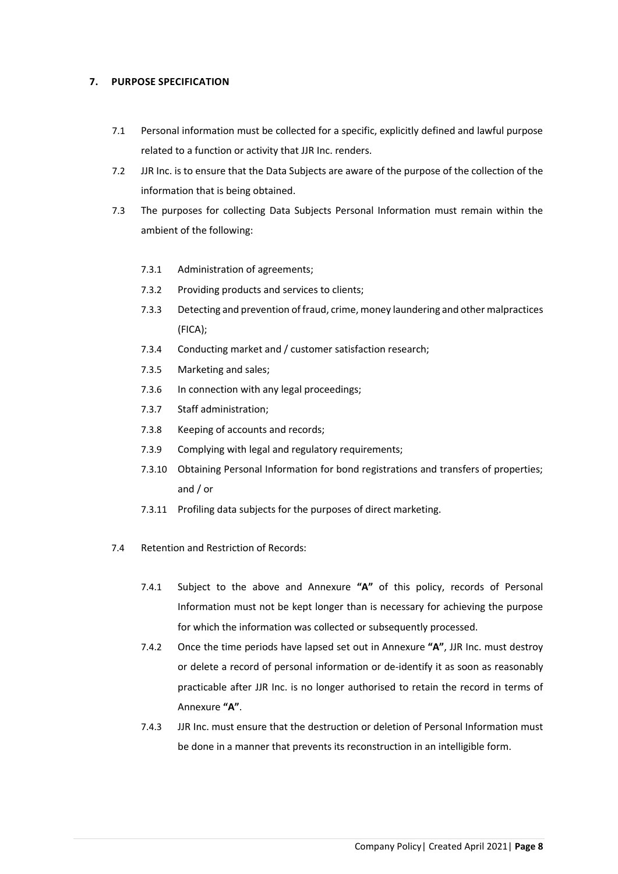### <span id="page-7-0"></span>**7. PURPOSE SPECIFICATION**

- 7.1 Personal information must be collected for a specific, explicitly defined and lawful purpose related to a function or activity that JJR Inc. renders.
- 7.2 JJR Inc. is to ensure that the Data Subjects are aware of the purpose of the collection of the information that is being obtained.
- 7.3 The purposes for collecting Data Subjects Personal Information must remain within the ambient of the following:
	- 7.3.1 Administration of agreements;
	- 7.3.2 Providing products and services to clients;
	- 7.3.3 Detecting and prevention of fraud, crime, money laundering and other malpractices (FICA);
	- 7.3.4 Conducting market and / customer satisfaction research;
	- 7.3.5 Marketing and sales;
	- 7.3.6 In connection with any legal proceedings;
	- 7.3.7 Staff administration;
	- 7.3.8 Keeping of accounts and records;
	- 7.3.9 Complying with legal and regulatory requirements;
	- 7.3.10 Obtaining Personal Information for bond registrations and transfers of properties; and / or
	- 7.3.11 Profiling data subjects for the purposes of direct marketing.
- 7.4 Retention and Restriction of Records:
	- 7.4.1 Subject to the above and Annexure **"A"** of this policy, records of Personal Information must not be kept longer than is necessary for achieving the purpose for which the information was collected or subsequently processed.
	- 7.4.2 Once the time periods have lapsed set out in Annexure **"A"**, JJR Inc. must destroy or delete a record of personal information or de-identify it as soon as reasonably practicable after JJR Inc. is no longer authorised to retain the record in terms of Annexure **"A"**.
	- 7.4.3 JJR Inc. must ensure that the destruction or deletion of Personal Information must be done in a manner that prevents its reconstruction in an intelligible form.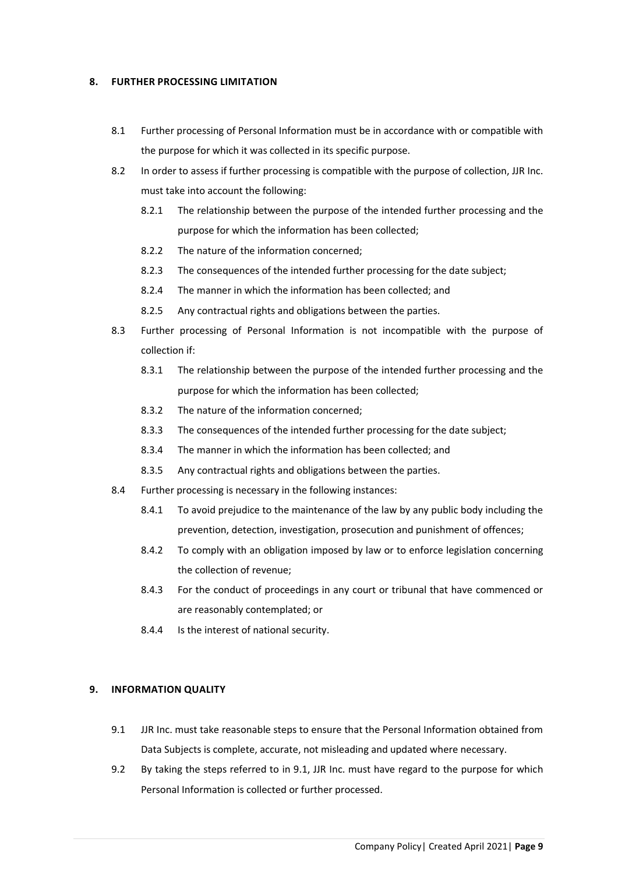#### <span id="page-8-0"></span>**8. FURTHER PROCESSING LIMITATION**

- 8.1 Further processing of Personal Information must be in accordance with or compatible with the purpose for which it was collected in its specific purpose.
- 8.2 In order to assess if further processing is compatible with the purpose of collection, JJR Inc. must take into account the following:
	- 8.2.1 The relationship between the purpose of the intended further processing and the purpose for which the information has been collected;
	- 8.2.2 The nature of the information concerned;
	- 8.2.3 The consequences of the intended further processing for the date subject;
	- 8.2.4 The manner in which the information has been collected; and
	- 8.2.5 Any contractual rights and obligations between the parties.
- 8.3 Further processing of Personal Information is not incompatible with the purpose of collection if:
	- 8.3.1 The relationship between the purpose of the intended further processing and the purpose for which the information has been collected;
	- 8.3.2 The nature of the information concerned;
	- 8.3.3 The consequences of the intended further processing for the date subject;
	- 8.3.4 The manner in which the information has been collected; and
	- 8.3.5 Any contractual rights and obligations between the parties.
- 8.4 Further processing is necessary in the following instances:
	- 8.4.1 To avoid prejudice to the maintenance of the law by any public body including the prevention, detection, investigation, prosecution and punishment of offences;
	- 8.4.2 To comply with an obligation imposed by law or to enforce legislation concerning the collection of revenue;
	- 8.4.3 For the conduct of proceedings in any court or tribunal that have commenced or are reasonably contemplated; or
	- 8.4.4 Is the interest of national security.

# <span id="page-8-1"></span>**9. INFORMATION QUALITY**

- 9.1 JJR Inc. must take reasonable steps to ensure that the Personal Information obtained from Data Subjects is complete, accurate, not misleading and updated where necessary.
- 9.2 By taking the steps referred to in 9.1, JJR Inc. must have regard to the purpose for which Personal Information is collected or further processed.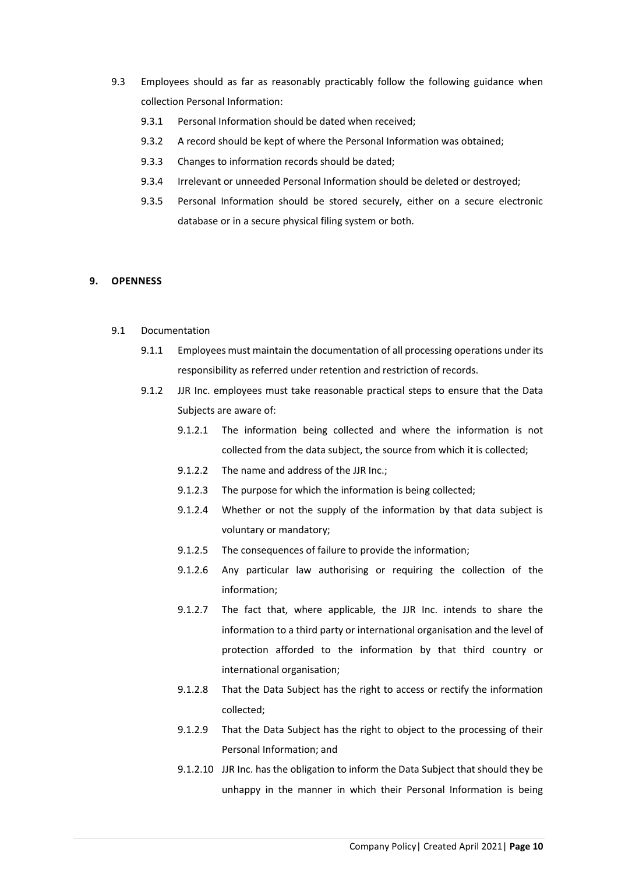- 9.3 Employees should as far as reasonably practicably follow the following guidance when collection Personal Information:
	- 9.3.1 Personal Information should be dated when received;
	- 9.3.2 A record should be kept of where the Personal Information was obtained;
	- 9.3.3 Changes to information records should be dated;
	- 9.3.4 Irrelevant or unneeded Personal Information should be deleted or destroyed;
	- 9.3.5 Personal Information should be stored securely, either on a secure electronic database or in a secure physical filing system or both.

#### <span id="page-9-0"></span>**9. OPENNESS**

- 9.1 Documentation
	- 9.1.1 Employees must maintain the documentation of all processing operations under its responsibility as referred under retention and restriction of records.
	- 9.1.2 JJR Inc. employees must take reasonable practical steps to ensure that the Data Subjects are aware of:
		- 9.1.2.1 The information being collected and where the information is not collected from the data subject, the source from which it is collected;
		- 9.1.2.2 The name and address of the JJR Inc.;
		- 9.1.2.3 The purpose for which the information is being collected;
		- 9.1.2.4 Whether or not the supply of the information by that data subject is voluntary or mandatory;
		- 9.1.2.5 The consequences of failure to provide the information;
		- 9.1.2.6 Any particular law authorising or requiring the collection of the information;
		- 9.1.2.7 The fact that, where applicable, the JJR Inc. intends to share the information to a third party or international organisation and the level of protection afforded to the information by that third country or international organisation;
		- 9.1.2.8 That the Data Subject has the right to access or rectify the information collected;
		- 9.1.2.9 That the Data Subject has the right to object to the processing of their Personal Information; and
		- 9.1.2.10 JJR Inc. has the obligation to inform the Data Subject that should they be unhappy in the manner in which their Personal Information is being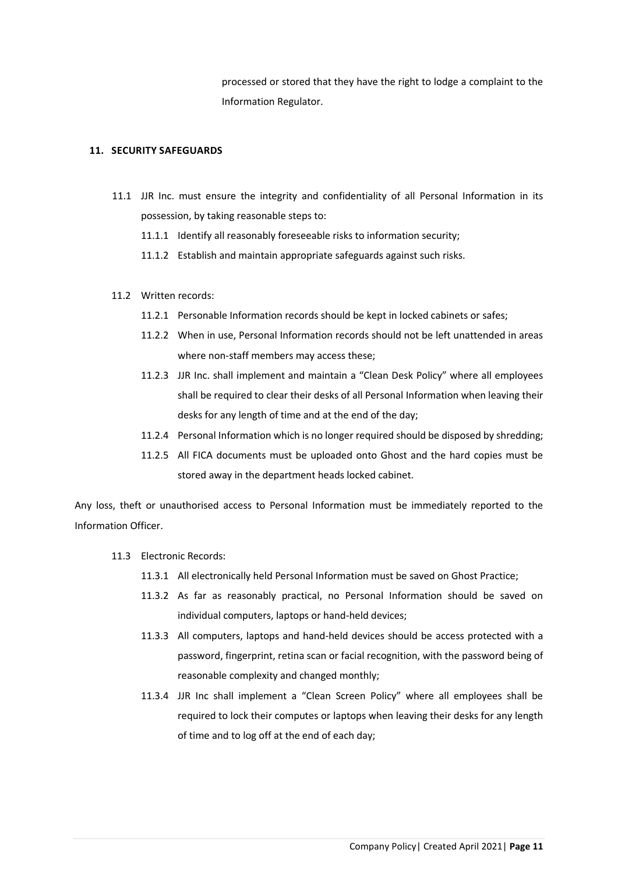processed or stored that they have the right to lodge a complaint to the Information Regulator.

#### <span id="page-10-0"></span>**11. SECURITY SAFEGUARDS**

- 11.1 JJR Inc. must ensure the integrity and confidentiality of all Personal Information in its possession, by taking reasonable steps to:
	- 11.1.1 Identify all reasonably foreseeable risks to information security;
	- 11.1.2 Establish and maintain appropriate safeguards against such risks.
- 11.2 Written records:
	- 11.2.1 Personable Information records should be kept in locked cabinets or safes;
	- 11.2.2 When in use, Personal Information records should not be left unattended in areas where non-staff members may access these;
	- 11.2.3 JJR Inc. shall implement and maintain a "Clean Desk Policy" where all employees shall be required to clear their desks of all Personal Information when leaving their desks for any length of time and at the end of the day;
	- 11.2.4 Personal Information which is no longer required should be disposed by shredding;
	- 11.2.5 All FICA documents must be uploaded onto Ghost and the hard copies must be stored away in the department heads locked cabinet.

Any loss, theft or unauthorised access to Personal Information must be immediately reported to the Information Officer.

- 11.3 Electronic Records:
	- 11.3.1 All electronically held Personal Information must be saved on Ghost Practice;
	- 11.3.2 As far as reasonably practical, no Personal Information should be saved on individual computers, laptops or hand-held devices;
	- 11.3.3 All computers, laptops and hand-held devices should be access protected with a password, fingerprint, retina scan or facial recognition, with the password being of reasonable complexity and changed monthly;
	- 11.3.4 JJR Inc shall implement a "Clean Screen Policy" where all employees shall be required to lock their computes or laptops when leaving their desks for any length of time and to log off at the end of each day;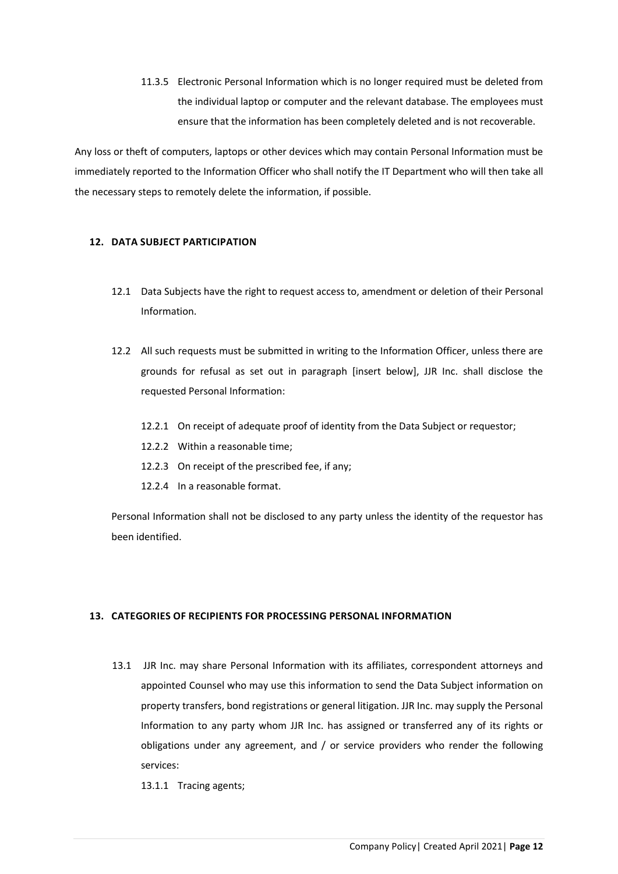11.3.5 Electronic Personal Information which is no longer required must be deleted from the individual laptop or computer and the relevant database. The employees must ensure that the information has been completely deleted and is not recoverable.

Any loss or theft of computers, laptops or other devices which may contain Personal Information must be immediately reported to the Information Officer who shall notify the IT Department who will then take all the necessary steps to remotely delete the information, if possible.

# <span id="page-11-0"></span>**12. DATA SUBJECT PARTICIPATION**

- 12.1 Data Subjects have the right to request access to, amendment or deletion of their Personal Information.
- 12.2 All such requests must be submitted in writing to the Information Officer, unless there are grounds for refusal as set out in paragraph [insert below], JJR Inc. shall disclose the requested Personal Information:
	- 12.2.1 On receipt of adequate proof of identity from the Data Subject or requestor;
	- 12.2.2 Within a reasonable time;
	- 12.2.3 On receipt of the prescribed fee, if any;
	- 12.2.4 In a reasonable format.

Personal Information shall not be disclosed to any party unless the identity of the requestor has been identified.

# <span id="page-11-1"></span>**13. CATEGORIES OF RECIPIENTS FOR PROCESSING PERSONAL INFORMATION**

13.1 JJR Inc. may share Personal Information with its affiliates, correspondent attorneys and appointed Counsel who may use this information to send the Data Subject information on property transfers, bond registrations or general litigation. JJR Inc. may supply the Personal Information to any party whom JJR Inc. has assigned or transferred any of its rights or obligations under any agreement, and / or service providers who render the following services:

13.1.1 Tracing agents;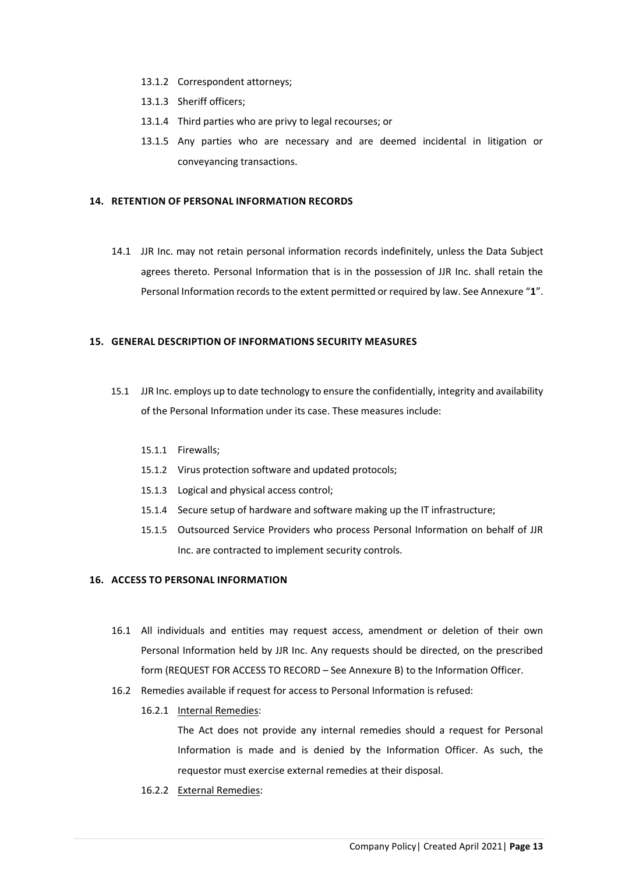- 13.1.2 Correspondent attorneys;
- 13.1.3 Sheriff officers;
- 13.1.4 Third parties who are privy to legal recourses; or
- 13.1.5 Any parties who are necessary and are deemed incidental in litigation or conveyancing transactions.

#### <span id="page-12-0"></span>**14. RETENTION OF PERSONAL INFORMATION RECORDS**

14.1 JJR Inc. may not retain personal information records indefinitely, unless the Data Subject agrees thereto. Personal Information that is in the possession of JJR Inc. shall retain the Personal Information records to the extent permitted or required by law. See Annexure "**1**".

#### <span id="page-12-1"></span>**15. GENERAL DESCRIPTION OF INFORMATIONS SECURITY MEASURES**

- 15.1 JJR Inc. employs up to date technology to ensure the confidentially, integrity and availability of the Personal Information under its case. These measures include:
	- 15.1.1 Firewalls;
	- 15.1.2 Virus protection software and updated protocols;
	- 15.1.3 Logical and physical access control;
	- 15.1.4 Secure setup of hardware and software making up the IT infrastructure;
	- 15.1.5 Outsourced Service Providers who process Personal Information on behalf of JJR Inc. are contracted to implement security controls.

#### <span id="page-12-2"></span>**16. ACCESS TO PERSONAL INFORMATION**

- 16.1 All individuals and entities may request access, amendment or deletion of their own Personal Information held by JJR Inc. Any requests should be directed, on the prescribed form (REQUEST FOR ACCESS TO RECORD – See Annexure B) to the Information Officer.
- 16.2 Remedies available if request for access to Personal Information is refused:
	- 16.2.1 Internal Remedies:

The Act does not provide any internal remedies should a request for Personal Information is made and is denied by the Information Officer. As such, the requestor must exercise external remedies at their disposal.

16.2.2 External Remedies: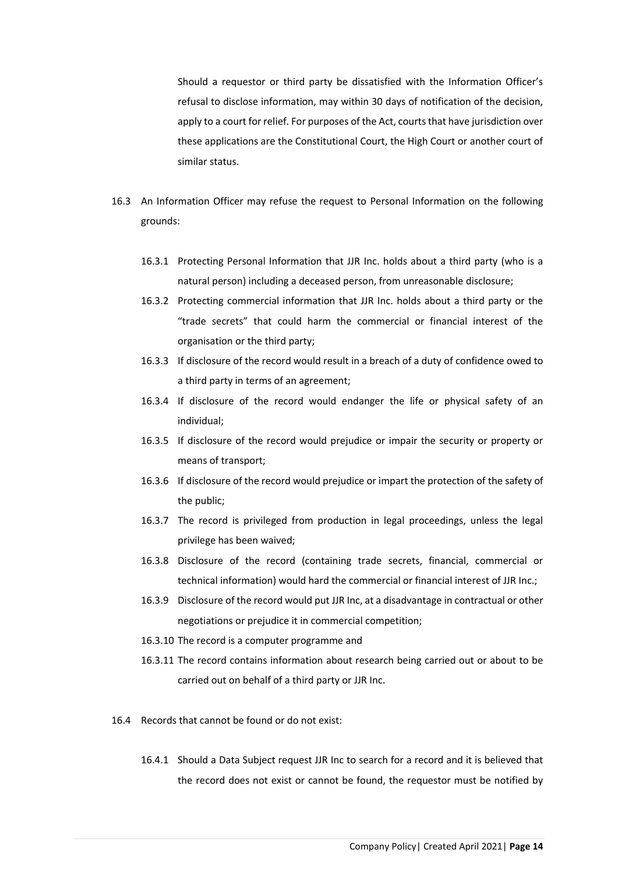Should a requestor or third party be dissatisfied with the Information Officer's refusal to disclose information, may within 30 days of notification of the decision, apply to a court for relief. For purposes of the Act, courts that have jurisdiction over these applications are the Constitutional Court, the High Court or another court of similar status.

- 16.3 An Information Officer may refuse the request to Personal Information on the following grounds:
	- 16.3.1 Protecting Personal Information that JJR Inc. holds about a third party (who is a natural person) including a deceased person, from unreasonable disclosure;
	- 16.3.2 Protecting commercial information that JJR Inc. holds about a third party or the "trade secrets" that could harm the commercial or financial interest of the organisation or the third party;
	- 16.3.3 If disclosure of the record would result in a breach of a duty of confidence owed to a third party in terms of an agreement;
	- 16.3.4 If disclosure of the record would endanger the life or physical safety of an individual;
	- 16.3.5 If disclosure of the record would prejudice or impair the security or property or means of transport;
	- 16.3.6 If disclosure of the record would prejudice or impart the protection of the safety of the public;
	- 16.3.7 The record is privileged from production in legal proceedings, unless the legal privilege has been waived;
	- 16.3.8 Disclosure of the record (containing trade secrets, financial, commercial or technical information) would hard the commercial or financial interest of JJR Inc.;
	- 16.3.9 Disclosure of the record would put JJR Inc, at a disadvantage in contractual or other negotiations or prejudice it in commercial competition;
	- 16.3.10 The record is a computer programme and
	- 16.3.11 The record contains information about research being carried out or about to be carried out on behalf of a third party or JJR Inc.
- 16.4 Records that cannot be found or do not exist:
	- 16.4.1 Should a Data Subject request JJR Inc to search for a record and it is believed that the record does not exist or cannot be found, the requestor must be notified by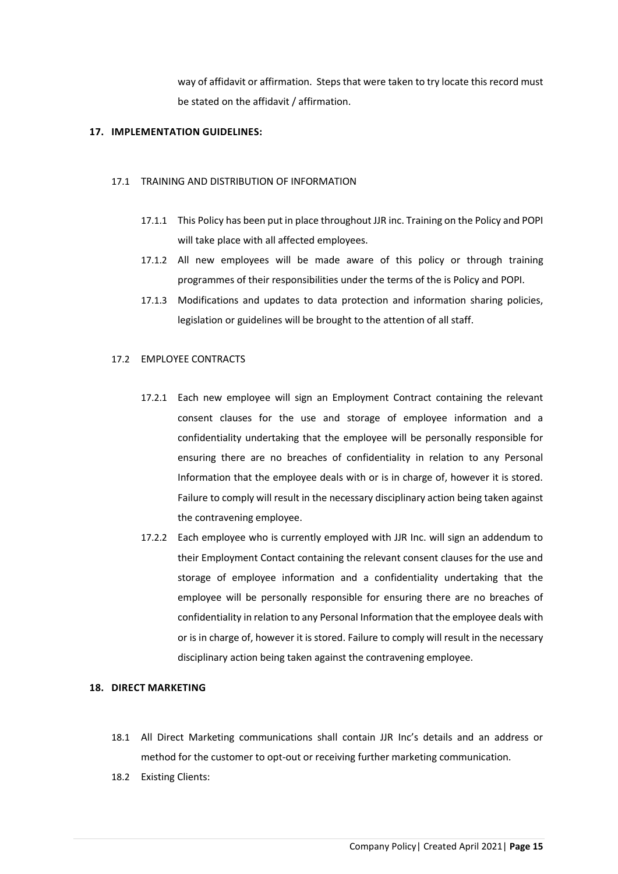way of affidavit or affirmation. Steps that were taken to try locate this record must be stated on the affidavit / affirmation.

#### <span id="page-14-0"></span>**17. IMPLEMENTATION GUIDELINES:**

#### 17.1 TRAINING AND DISTRIBUTION OF INFORMATION

- 17.1.1 This Policy has been put in place throughout JJR inc. Training on the Policy and POPI will take place with all affected employees.
- 17.1.2 All new employees will be made aware of this policy or through training programmes of their responsibilities under the terms of the is Policy and POPI.
- 17.1.3 Modifications and updates to data protection and information sharing policies, legislation or guidelines will be brought to the attention of all staff.

#### 17.2 EMPLOYEE CONTRACTS

- 17.2.1 Each new employee will sign an Employment Contract containing the relevant consent clauses for the use and storage of employee information and a confidentiality undertaking that the employee will be personally responsible for ensuring there are no breaches of confidentiality in relation to any Personal Information that the employee deals with or is in charge of, however it is stored. Failure to comply will result in the necessary disciplinary action being taken against the contravening employee.
- 17.2.2 Each employee who is currently employed with JJR Inc. will sign an addendum to their Employment Contact containing the relevant consent clauses for the use and storage of employee information and a confidentiality undertaking that the employee will be personally responsible for ensuring there are no breaches of confidentiality in relation to any Personal Information that the employee deals with or is in charge of, however it is stored. Failure to comply will result in the necessary disciplinary action being taken against the contravening employee.

# <span id="page-14-1"></span>**18. DIRECT MARKETING**

- 18.1 All Direct Marketing communications shall contain JJR Inc's details and an address or method for the customer to opt-out or receiving further marketing communication.
- 18.2 Existing Clients: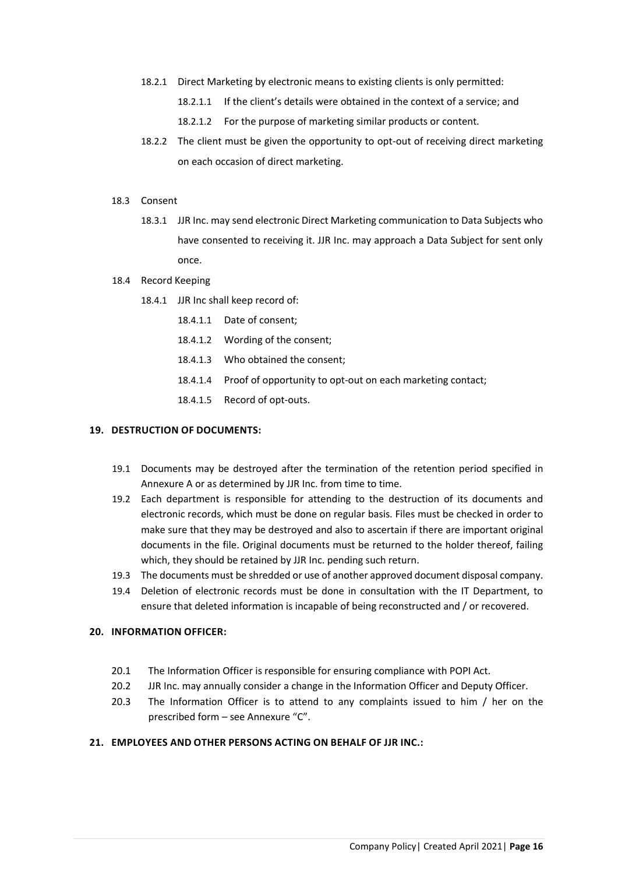- 18.2.1 Direct Marketing by electronic means to existing clients is only permitted:
	- 18.2.1.1 If the client's details were obtained in the context of a service; and
	- 18.2.1.2 For the purpose of marketing similar products or content.
- 18.2.2 The client must be given the opportunity to opt-out of receiving direct marketing on each occasion of direct marketing.
- 18.3 Consent
	- 18.3.1 JJR Inc. may send electronic Direct Marketing communication to Data Subjects who have consented to receiving it. JJR Inc. may approach a Data Subject for sent only once.
- 18.4 Record Keeping
	- 18.4.1 JJR Inc shall keep record of:
		- 18.4.1.1 Date of consent;
		- 18.4.1.2 Wording of the consent;
		- 18.4.1.3 Who obtained the consent;
		- 18.4.1.4 Proof of opportunity to opt-out on each marketing contact;
		- 18.4.1.5 Record of opt-outs.

#### <span id="page-15-0"></span>**19. DESTRUCTION OF DOCUMENTS:**

- 19.1 Documents may be destroyed after the termination of the retention period specified in Annexure A or as determined by JJR Inc. from time to time.
- 19.2 Each department is responsible for attending to the destruction of its documents and electronic records, which must be done on regular basis. Files must be checked in order to make sure that they may be destroyed and also to ascertain if there are important original documents in the file. Original documents must be returned to the holder thereof, failing which, they should be retained by JJR Inc. pending such return.
- 19.3 The documents must be shredded or use of another approved document disposal company.
- 19.4 Deletion of electronic records must be done in consultation with the IT Department, to ensure that deleted information is incapable of being reconstructed and / or recovered.

### <span id="page-15-1"></span>**20. INFORMATION OFFICER:**

- 20.1 The Information Officer is responsible for ensuring compliance with POPI Act.
- 20.2 JJR Inc. may annually consider a change in the Information Officer and Deputy Officer.
- 20.3 The Information Officer is to attend to any complaints issued to him / her on the prescribed form – see Annexure "C".

#### <span id="page-15-2"></span>**21. EMPLOYEES AND OTHER PERSONS ACTING ON BEHALF OF JJR INC.:**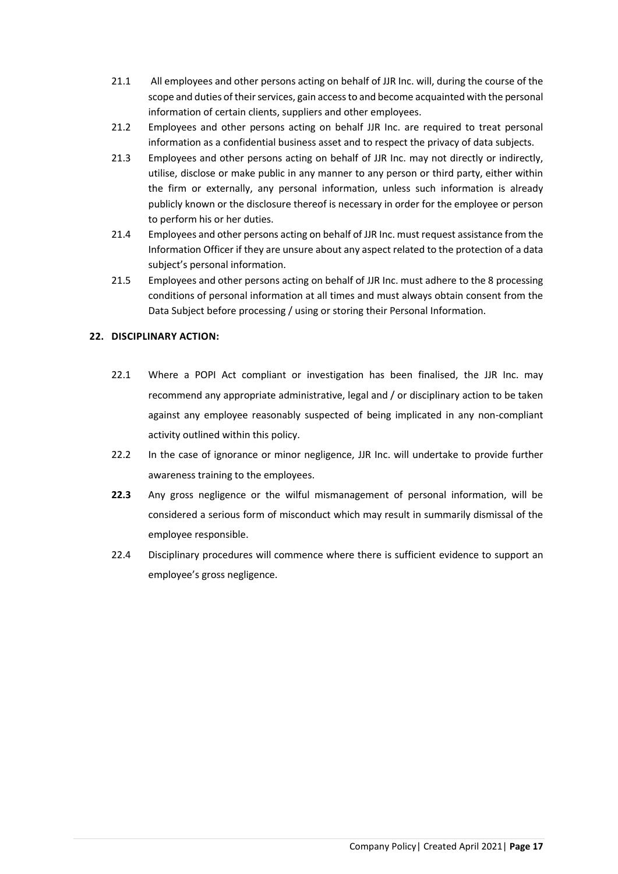- 21.1 All employees and other persons acting on behalf of JJR Inc. will, during the course of the scope and duties of their services, gain access to and become acquainted with the personal information of certain clients, suppliers and other employees.
- 21.2 Employees and other persons acting on behalf JJR Inc. are required to treat personal information as a confidential business asset and to respect the privacy of data subjects.
- 21.3 Employees and other persons acting on behalf of JJR Inc. may not directly or indirectly, utilise, disclose or make public in any manner to any person or third party, either within the firm or externally, any personal information, unless such information is already publicly known or the disclosure thereof is necessary in order for the employee or person to perform his or her duties.
- 21.4 Employees and other persons acting on behalf of JJR Inc. must request assistance from the Information Officer if they are unsure about any aspect related to the protection of a data subject's personal information.
- 21.5 Employees and other persons acting on behalf of JJR Inc. must adhere to the 8 processing conditions of personal information at all times and must always obtain consent from the Data Subject before processing / using or storing their Personal Information.

# <span id="page-16-0"></span>**22. DISCIPLINARY ACTION:**

- 22.1 Where a POPI Act compliant or investigation has been finalised, the JJR Inc. may recommend any appropriate administrative, legal and / or disciplinary action to be taken against any employee reasonably suspected of being implicated in any non-compliant activity outlined within this policy.
- 22.2 In the case of ignorance or minor negligence, JJR Inc. will undertake to provide further awareness training to the employees.
- **22.3** Any gross negligence or the wilful mismanagement of personal information, will be considered a serious form of misconduct which may result in summarily dismissal of the employee responsible.
- 22.4 Disciplinary procedures will commence where there is sufficient evidence to support an employee's gross negligence.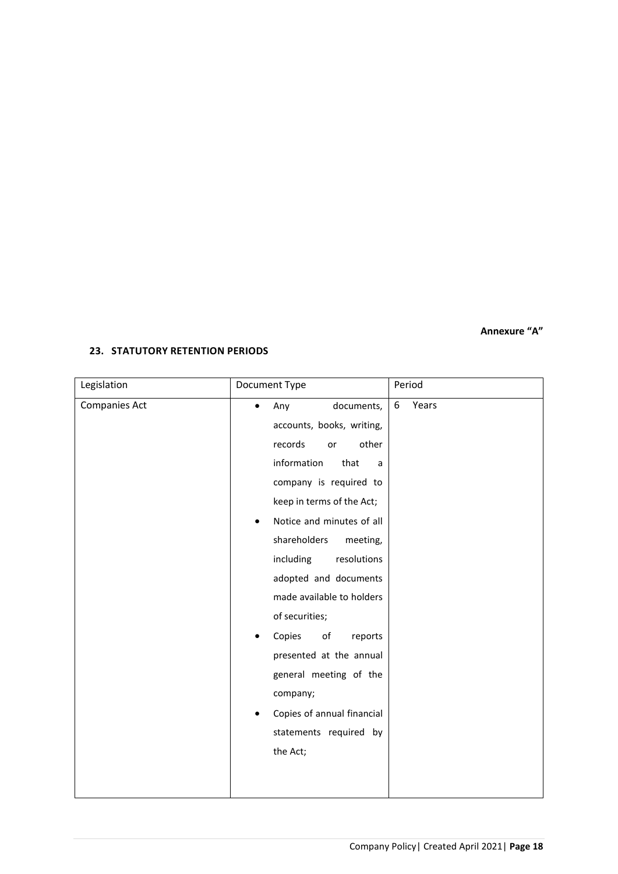# **Annexure "A"**

# <span id="page-17-0"></span>**23. STATUTORY RETENTION PERIODS**

| Legislation          | Document Type                                                                                                                                                                                                                                                                                                                                                                                                                                                                                         | Period     |
|----------------------|-------------------------------------------------------------------------------------------------------------------------------------------------------------------------------------------------------------------------------------------------------------------------------------------------------------------------------------------------------------------------------------------------------------------------------------------------------------------------------------------------------|------------|
| <b>Companies Act</b> | documents,<br>Any<br>$\bullet$<br>accounts, books, writing,<br>other<br>records<br>or<br>information<br>that<br>a<br>company is required to<br>keep in terms of the Act;<br>Notice and minutes of all<br>shareholders<br>meeting,<br>including<br>resolutions<br>adopted and documents<br>made available to holders<br>of securities;<br>Copies<br>of<br>reports<br>presented at the annual<br>general meeting of the<br>company;<br>Copies of annual financial<br>statements required by<br>the Act; | Years<br>6 |
|                      |                                                                                                                                                                                                                                                                                                                                                                                                                                                                                                       |            |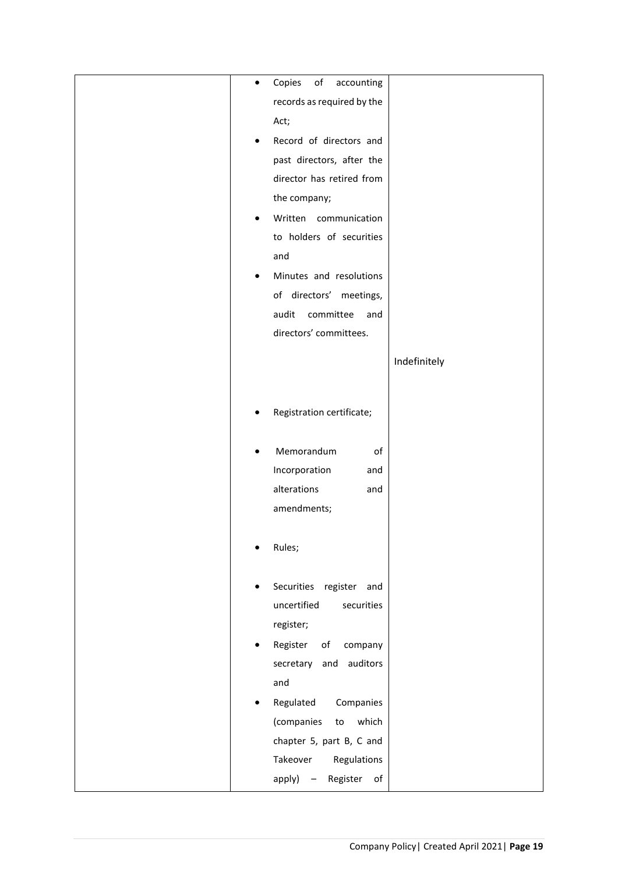| Copies<br>of<br>accounting<br>$\bullet$              |              |
|------------------------------------------------------|--------------|
|                                                      |              |
| records as required by the                           |              |
| Act;                                                 |              |
| Record of directors and<br>٠                         |              |
| past directors, after the                            |              |
| director has retired from                            |              |
| the company;                                         |              |
| Written communication                                |              |
| to holders of securities                             |              |
| and                                                  |              |
| Minutes and resolutions<br>٠                         |              |
| of directors' meetings,                              |              |
| audit<br>committee<br>and                            |              |
| directors' committees.                               |              |
|                                                      |              |
|                                                      | Indefinitely |
|                                                      |              |
| Registration certificate;<br>٠                       |              |
|                                                      |              |
| Memorandum<br>of<br>$\bullet$                        |              |
| Incorporation<br>and                                 |              |
| alterations<br>and                                   |              |
| amendments;                                          |              |
|                                                      |              |
| Rules;                                               |              |
|                                                      |              |
|                                                      |              |
| Securities register<br>and<br>٠                      |              |
| uncertified<br>securities                            |              |
| register;                                            |              |
| Register<br>of<br>company<br>$\bullet$               |              |
| auditors<br>secretary and                            |              |
| and                                                  |              |
| Regulated<br>Companies                               |              |
| which<br>(companies<br>${\sf to}$                    |              |
| chapter 5, part B, C and                             |              |
| Takeover<br>Regulations                              |              |
| Register<br>apply)<br>of<br>$\overline{\phantom{a}}$ |              |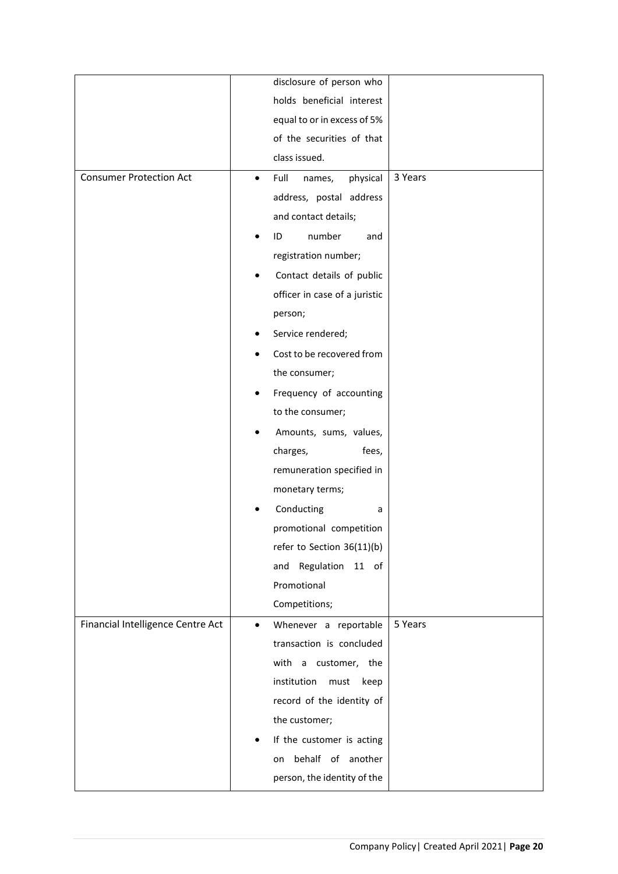|                                   | disclosure of person who                |         |
|-----------------------------------|-----------------------------------------|---------|
|                                   | holds beneficial interest               |         |
|                                   | equal to or in excess of 5%             |         |
|                                   | of the securities of that               |         |
|                                   | class issued.                           |         |
| <b>Consumer Protection Act</b>    | Full<br>names,<br>physical<br>$\bullet$ | 3 Years |
|                                   | address, postal address                 |         |
|                                   | and contact details;                    |         |
|                                   | number<br>ID<br>and                     |         |
|                                   | registration number;                    |         |
|                                   | Contact details of public               |         |
|                                   | officer in case of a juristic           |         |
|                                   | person;                                 |         |
|                                   | Service rendered;                       |         |
|                                   | Cost to be recovered from               |         |
|                                   | the consumer;                           |         |
|                                   | Frequency of accounting                 |         |
|                                   | to the consumer;                        |         |
|                                   | Amounts, sums, values,                  |         |
|                                   | charges,<br>fees,                       |         |
|                                   | remuneration specified in               |         |
|                                   | monetary terms;                         |         |
|                                   | Conducting<br>a                         |         |
|                                   | promotional competition                 |         |
|                                   | refer to Section 36(11)(b)              |         |
|                                   | Regulation<br>11 of<br>and              |         |
|                                   | Promotional                             |         |
|                                   | Competitions;                           |         |
| Financial Intelligence Centre Act | Whenever a reportable<br>$\bullet$      | 5 Years |
|                                   | transaction is concluded                |         |
|                                   | with a customer, the                    |         |
|                                   | institution<br>must<br>keep             |         |
|                                   | record of the identity of               |         |
|                                   | the customer;                           |         |
|                                   | If the customer is acting               |         |
|                                   | behalf of another<br>on                 |         |
|                                   | person, the identity of the             |         |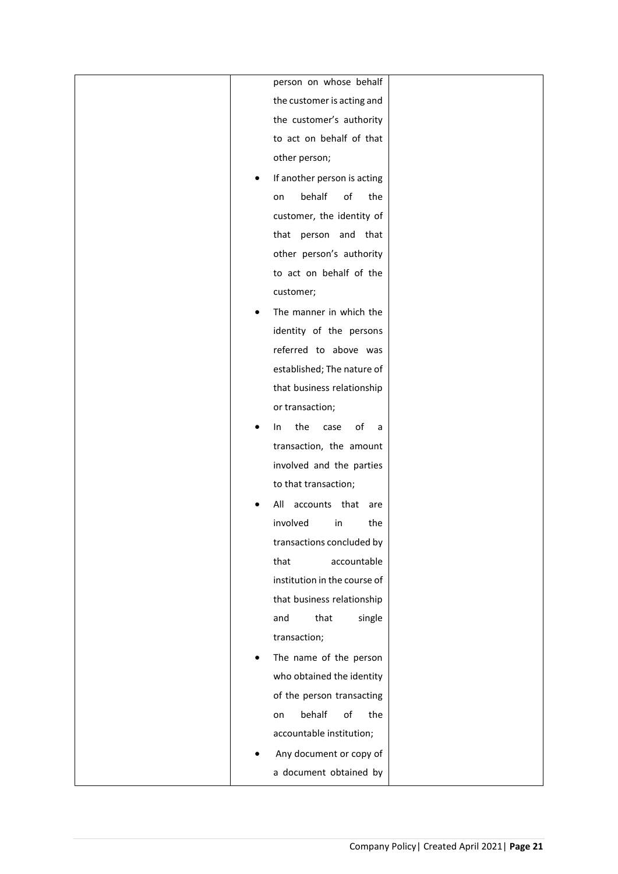|   | person on whose behalf       |  |
|---|------------------------------|--|
|   | the customer is acting and   |  |
|   | the customer's authority     |  |
|   | to act on behalf of that     |  |
|   | other person;                |  |
|   | If another person is acting  |  |
|   | behalf<br>of<br>the<br>on    |  |
|   | customer, the identity of    |  |
|   | that person and that         |  |
|   | other person's authority     |  |
|   | to act on behalf of the      |  |
|   | customer;                    |  |
| ٠ | The manner in which the      |  |
|   | identity of the persons      |  |
|   | referred to above was        |  |
|   | established; The nature of   |  |
|   | that business relationship   |  |
|   | or transaction;              |  |
|   | the<br>of<br>case<br>In<br>a |  |
|   | transaction, the amount      |  |
|   | involved and the parties     |  |
|   | to that transaction;         |  |
|   | accounts that<br>All<br>are  |  |
|   | involved<br>the<br>in        |  |
|   | transactions concluded by    |  |
|   | that<br>accountable          |  |
|   | institution in the course of |  |
|   | that business relationship   |  |
|   | that<br>and<br>single        |  |
|   | transaction;                 |  |
|   | The name of the person       |  |
|   | who obtained the identity    |  |
|   | of the person transacting    |  |
|   | behalf<br>of<br>the<br>on    |  |
|   | accountable institution;     |  |
|   | Any document or copy of      |  |
|   |                              |  |
|   | a document obtained by       |  |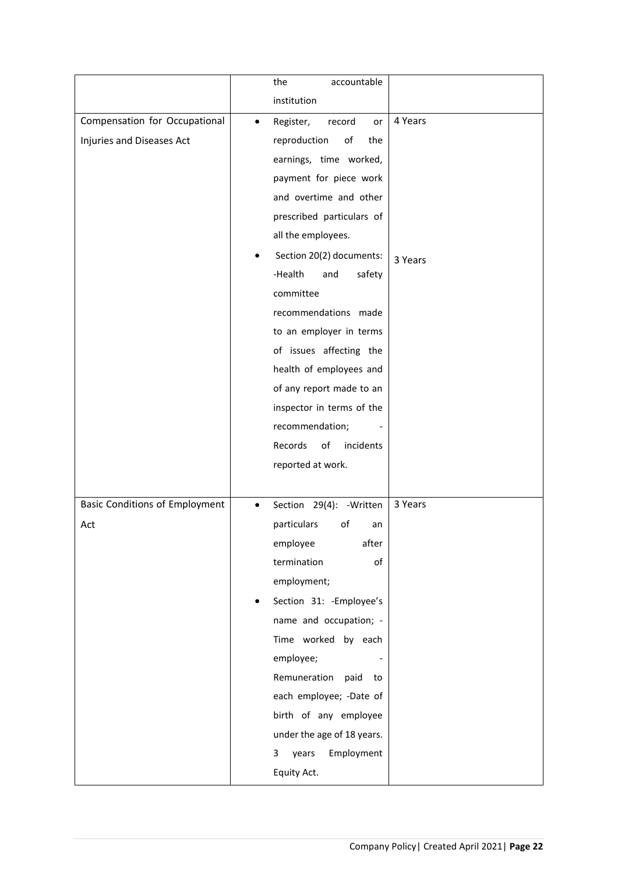|                                       | accountable<br>the                     |         |
|---------------------------------------|----------------------------------------|---------|
|                                       | institution                            |         |
| Compensation for Occupational         | Register,<br>record<br>or<br>$\bullet$ | 4 Years |
| Injuries and Diseases Act             | reproduction<br>оf<br>the              |         |
|                                       | earnings, time worked,                 |         |
|                                       | payment for piece work                 |         |
|                                       | and overtime and other                 |         |
|                                       | prescribed particulars of              |         |
|                                       | all the employees.                     |         |
|                                       | Section 20(2) documents:               | 3 Years |
|                                       | -Health<br>safety<br>and               |         |
|                                       | committee                              |         |
|                                       | recommendations made                   |         |
|                                       | to an employer in terms                |         |
|                                       | of issues affecting the                |         |
|                                       | health of employees and                |         |
|                                       | of any report made to an               |         |
|                                       | inspector in terms of the              |         |
|                                       | recommendation;                        |         |
|                                       | Records<br>of<br>incidents             |         |
|                                       | reported at work.                      |         |
|                                       |                                        |         |
| <b>Basic Conditions of Employment</b> | Section 29(4): - Written               | 3 Years |
| Act                                   | particulars<br>of<br>an                |         |
|                                       | employee<br>after                      |         |
|                                       | termination<br>of                      |         |
|                                       | employment;                            |         |
|                                       | Section 31: - Employee's               |         |
|                                       | name and occupation; -                 |         |
|                                       | Time worked by each                    |         |
|                                       | employee;                              |         |
|                                       | Remuneration<br>paid<br>to             |         |
|                                       | each employee; -Date of                |         |
|                                       | birth of any employee                  |         |
|                                       | under the age of 18 years.             |         |
|                                       | Employment<br>3<br>years               |         |
|                                       | Equity Act.                            |         |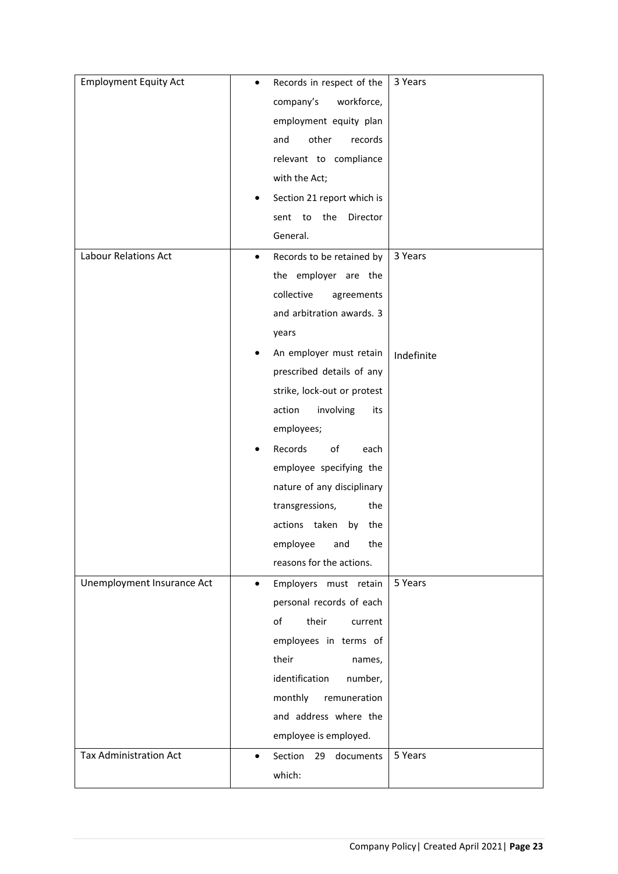| <b>Employment Equity Act</b>  | ٠         | Records in respect of the   | 3 Years    |
|-------------------------------|-----------|-----------------------------|------------|
|                               |           | workforce,<br>company's     |            |
|                               |           | employment equity plan      |            |
|                               |           | other<br>and<br>records     |            |
|                               |           | relevant to compliance      |            |
|                               |           | with the Act;               |            |
|                               |           | Section 21 report which is  |            |
|                               |           | sent to<br>the<br>Director  |            |
|                               |           | General.                    |            |
| Labour Relations Act          | ٠         | Records to be retained by   | 3 Years    |
|                               |           | the employer are the        |            |
|                               |           | collective<br>agreements    |            |
|                               |           | and arbitration awards. 3   |            |
|                               |           | years                       |            |
|                               |           | An employer must retain     | Indefinite |
|                               |           | prescribed details of any   |            |
|                               |           | strike, lock-out or protest |            |
|                               |           | involving<br>action<br>its  |            |
|                               |           | employees;                  |            |
|                               |           | Records<br>of<br>each       |            |
|                               |           | employee specifying the     |            |
|                               |           | nature of any disciplinary  |            |
|                               |           | transgressions,<br>the      |            |
|                               |           | actions taken<br>by<br>the  |            |
|                               |           | employee<br>the<br>and      |            |
|                               |           | reasons for the actions.    |            |
| Unemployment Insurance Act    | $\bullet$ | Employers must retain       | 5 Years    |
|                               |           | personal records of each    |            |
|                               |           | of<br>their<br>current      |            |
|                               |           | employees in terms of       |            |
|                               |           | their<br>names,             |            |
|                               |           | identification<br>number,   |            |
|                               |           | monthly<br>remuneration     |            |
|                               |           | and address where the       |            |
|                               |           | employee is employed.       |            |
| <b>Tax Administration Act</b> | $\bullet$ | Section<br>documents<br>29  | 5 Years    |
|                               |           | which:                      |            |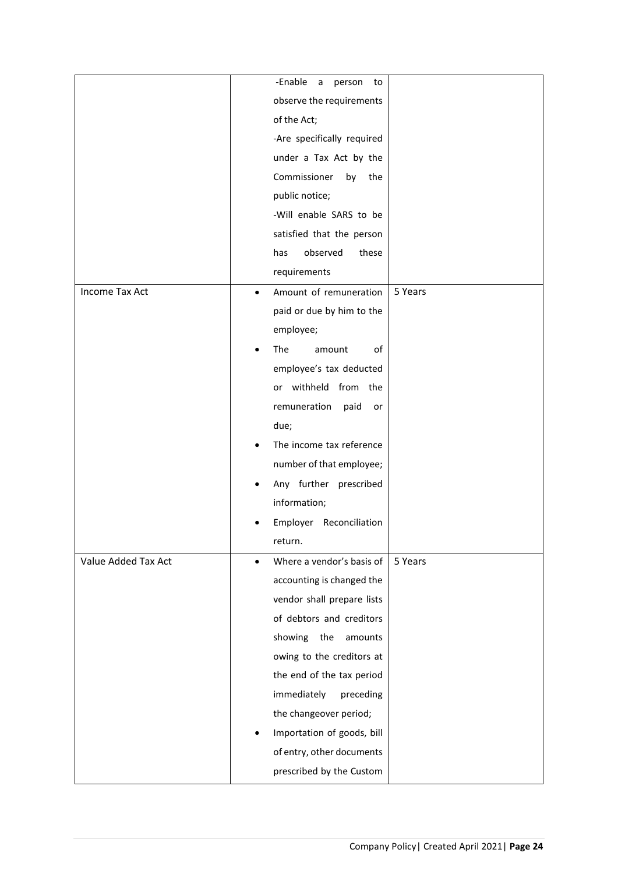|                       |           | -Enable<br>a<br>person<br>to |         |
|-----------------------|-----------|------------------------------|---------|
|                       |           | observe the requirements     |         |
|                       |           | of the Act;                  |         |
|                       |           | -Are specifically required   |         |
|                       |           | under a Tax Act by the       |         |
|                       |           | Commissioner<br>the<br>by    |         |
|                       |           | public notice;               |         |
|                       |           | -Will enable SARS to be      |         |
|                       |           | satisfied that the person    |         |
|                       |           | observed<br>has<br>these     |         |
|                       |           | requirements                 |         |
| <b>Income Tax Act</b> | $\bullet$ | Amount of remuneration       | 5 Years |
|                       |           | paid or due by him to the    |         |
|                       |           | employee;                    |         |
|                       |           | The<br>of<br>amount          |         |
|                       |           | employee's tax deducted      |         |
|                       |           | or withheld from the         |         |
|                       |           | remuneration<br>paid<br>or   |         |
|                       |           | due;                         |         |
|                       |           | The income tax reference     |         |
|                       |           | number of that employee;     |         |
|                       |           | Any further prescribed       |         |
|                       |           | information;                 |         |
|                       |           | Employer<br>Reconciliation   |         |
|                       |           | return.                      |         |
| Value Added Tax Act   | $\bullet$ | Where a vendor's basis of    | 5 Years |
|                       |           | accounting is changed the    |         |
|                       |           | vendor shall prepare lists   |         |
|                       |           | of debtors and creditors     |         |
|                       |           | showing the<br>amounts       |         |
|                       |           | owing to the creditors at    |         |
|                       |           | the end of the tax period    |         |
|                       |           | immediately<br>preceding     |         |
|                       |           | the changeover period;       |         |
|                       |           | Importation of goods, bill   |         |
|                       |           | of entry, other documents    |         |
|                       |           | prescribed by the Custom     |         |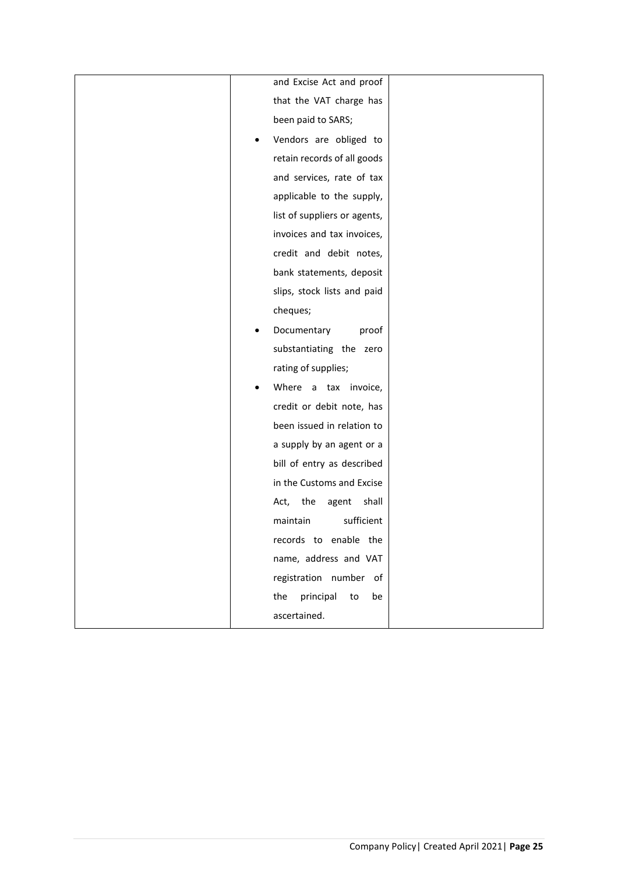|   | and Excise Act and proof      |
|---|-------------------------------|
|   | that the VAT charge has       |
|   | been paid to SARS;            |
| ٠ | Vendors are obliged to        |
|   | retain records of all goods   |
|   | and services, rate of tax     |
|   | applicable to the supply,     |
|   | list of suppliers or agents,  |
|   | invoices and tax invoices,    |
|   | credit and debit notes,       |
|   | bank statements, deposit      |
|   | slips, stock lists and paid   |
|   | cheques;                      |
|   | Documentary<br>proof          |
|   | substantiating the zero       |
|   | rating of supplies;           |
| ٠ | Where a tax invoice,          |
|   | credit or debit note, has     |
|   | been issued in relation to    |
|   | a supply by an agent or a     |
|   | bill of entry as described    |
|   | in the Customs and Excise     |
|   | the<br>shall<br>Act,<br>agent |
|   | sufficient<br>maintain        |
|   | records to enable the         |
|   | name, address and VAT         |
|   | registration number of        |
|   | principal<br>the<br>to<br>be  |
|   | ascertained.                  |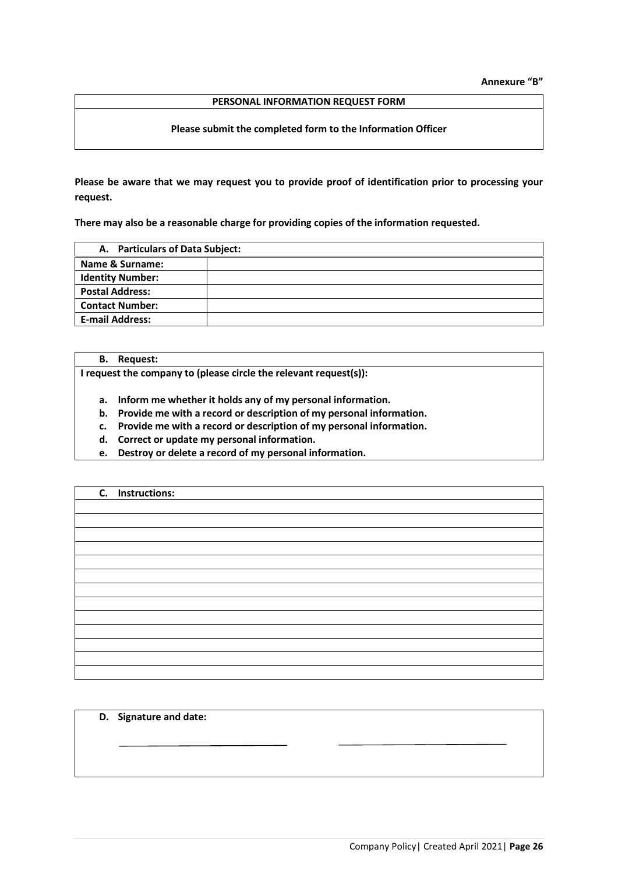**Annexure "B"**

#### **PERSONAL INFORMATION REQUEST FORM**

# **Please submit the completed form to the Information Officer**

**Please be aware that we may request you to provide proof of identification prior to processing your request.**

**There may also be a reasonable charge for providing copies of the information requested.**

| A. Particulars of Data Subject: |  |
|---------------------------------|--|
| Name & Surname:                 |  |
| <b>Identity Number:</b>         |  |
| <b>Postal Address:</b>          |  |
| <b>Contact Number:</b>          |  |
| <b>E-mail Address:</b>          |  |
|                                 |  |

**B. Request:**

**I request the company to (please circle the relevant request(s)):**

- **a. Inform me whether it holds any of my personal information.**
- **b. Provide me with a record or description of my personal information.**
- **c. Provide me with a record or description of my personal information.**
- **d. Correct or update my personal information.**
- **e. Destroy or delete a record of my personal information.**

# **C. Instructions:**

**D. Signature and date:**